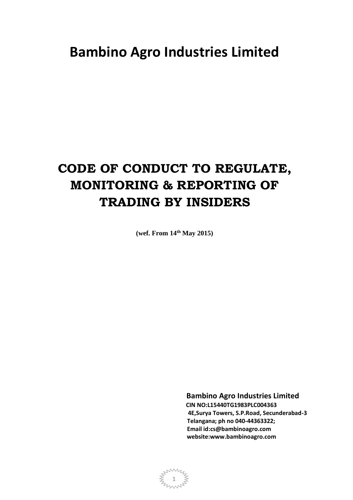# **Bambino Agro Industries Limited**

# **CODE OF CONDUCT TO REGULATE, MONITORING & REPORTING OF TRADING BY INSIDERS**

**(wef. From 14th May 2015)**

 **Bambino Agro Industries Limited CIN NO:L15440TG1983PLC004363 4E,Surya Towers, S.P.Road, Secunderabad-3 Telangana; ph no 040-44363322; Email id:cs@bambinoagro.com website:www.bambinoagro.com**

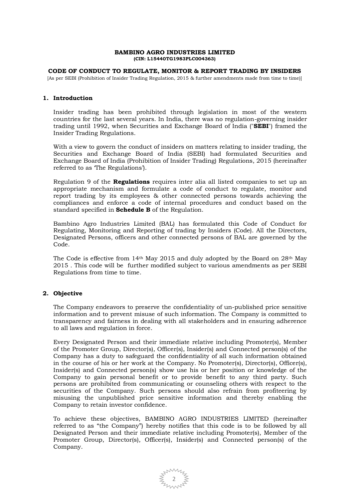#### **BAMBINO AGRO INDUSTRIES LIMITED (CIN: L15440TG1983PLC004363)**

#### **CODE OF CONDUCT TO REGULATE, MONITOR & REPORT TRADING BY INSIDERS**

[As per SEBI (Prohibition of Insider Trading Regulation, 2015 & further amendments made from time to time)]

#### **1. Introduction**

Insider trading has been prohibited through legislation in most of the western countries for the last several years. In India, there was no regulation-governing insider trading until 1992, when Securities and Exchange Board of India ("**SEBI**") framed the Insider Trading Regulations.

With a view to govern the conduct of insiders on matters relating to insider trading, the Securities and Exchange Board of India (SEBI) had formulated Securities and Exchange Board of India (Prohibition of Insider Trading) Regulations, 2015 (hereinafter referred to as 'The Regulations').

Regulation 9 of the **Regulations** requires inter alia all listed companies to set up an appropriate mechanism and formulate a code of conduct to regulate, monitor and report trading by its employees & other connected persons towards achieving the compliances and enforce a code of internal procedures and conduct based on the standard specified in **Schedule B** of the Regulation.

Bambino Agro Industries Limited (BAL) has formulated this Code of Conduct for Regulating, Monitoring and Reporting of trading by Insiders (Code). All the Directors, Designated Persons, officers and other connected persons of BAL are governed by the Code.

The Code is effective from 14th May 2015 and duly adopted by the Board on 28th May 2015 . This code will be further modified subject to various amendments as per SEBI Regulations from time to time.

# **2. Objective**

The Company endeavors to preserve the confidentiality of un-published price sensitive information and to prevent misuse of such information. The Company is committed to transparency and fairness in dealing with all stakeholders and in ensuring adherence to all laws and regulation in force.

Every Designated Person and their immediate relative including Promoter(s), Member of the Promoter Group, Director(s), Officer(s), Insider(s) and Connected person(s) of the Company has a duty to safeguard the confidentiality of all such information obtained in the course of his or her work at the Company. No Promoter(s), Director(s), Officer(s), Insider(s) and Connected person(s) show use his or her position or knowledge of the Company to gain personal benefit or to provide benefit to any third party. Such persons are prohibited from communicating or counseling others with respect to the securities of the Company. Such persons should also refrain from profiteering by misusing the unpublished price sensitive information and thereby enabling the Company to retain investor confidence.

To achieve these objectives, BAMBINO AGRO INDUSTRIES LIMITED (hereinafter referred to as "the Company") hereby notifies that this code is to be followed by all Designated Person and their immediate relative including Promoter(s), Member of the Promoter Group, Director(s), Officer(s), Insider(s) and Connected person(s) of the Company.

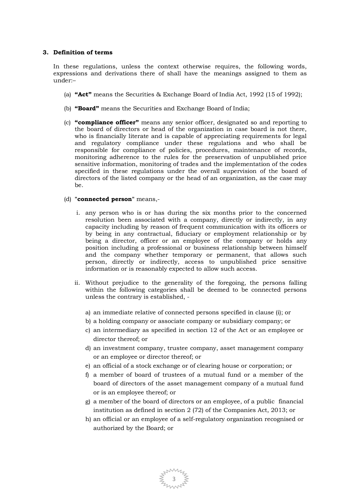### **3. Definition of terms**

In these regulations, unless the context otherwise requires, the following words, expressions and derivations there of shall have the meanings assigned to them as under:–

- (a) **"Act"** means the Securities & Exchange Board of India Act, 1992 (15 of 1992);
- (b) **"Board"** means the Securities and Exchange Board of India;
- (c) **"compliance officer"** means any senior officer, designated so and reporting to the board of directors or head of the organization in case board is not there, who is financially literate and is capable of appreciating requirements for legal and regulatory compliance under these regulations and who shall be responsible for compliance of policies, procedures, maintenance of records, monitoring adherence to the rules for the preservation of unpublished price sensitive information, monitoring of trades and the implementation of the codes specified in these regulations under the overall supervision of the board of directors of the listed company or the head of an organization, as the case may  $he$

#### (d) **"connected person"** means,-

- i. any person who is or has during the six months prior to the concerned resolution been associated with a company, directly or indirectly, in any capacity including by reason of frequent communication with its officers or by being in any contractual, fiduciary or employment relationship or by being a director, officer or an employee of the company or holds any position including a professional or business relationship between himself and the company whether temporary or permanent, that allows such person, directly or indirectly, access to unpublished price sensitive information or is reasonably expected to allow such access.
- ii. Without prejudice to the generality of the foregoing, the persons falling within the following categories shall be deemed to be connected persons unless the contrary is established,
	- a) an immediate relative of connected persons specified in clause (i); or
	- b) a holding company or associate company or subsidiary company; or
	- c) an intermediary as specified in section 12 of the Act or an employee or director thereof; or
	- d) an investment company, trustee company, asset management company or an employee or director thereof; or
	- e) an official of a stock exchange or of clearing house or corporation; or
	- f) a member of board of trustees of a mutual fund or a member of the board of directors of the asset management company of a mutual fund or is an employee thereof; or
	- g) a member of the board of directors or an employee, of a public financial institution as defined in section 2 (72) of the Companies Act, 2013; or
	- h) an official or an employee of a self-regulatory organization recognised or authorized by the Board; or

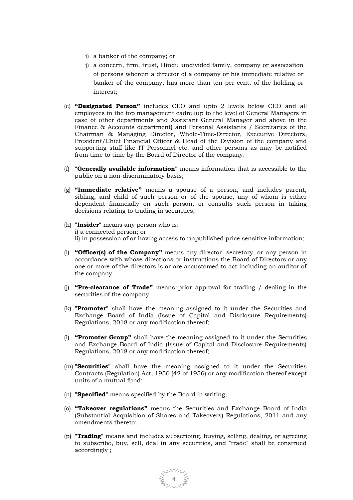- i) a banker of the company; or
- j) a concern, firm, trust, Hindu undivided family, company or association of persons wherein a director of a company or his immediate relative or banker of the company, has more than ten per cent. of the holding or interest;
- (e) **"Designated Person"** includes CEO and upto 2 levels below CEO and all employees in the top management cadre (up to the level of General Managers in case of other departments and Assistant General Manager and above in the Finance & Accounts department) and Personal Assistants / Secretaries of the Chairman & Managing Director, Whole-Time-Director, Executive Directors, President/Chief Financial Officer & Head of the Division of the company and supporting staff like IT Personnel etc. and other persons as may be notified from time to time by the Board of Director of the company.
- (f) **"Generally available information"** means information that is accessible to the public on a non-discriminatory basis;
- (g) **"Immediate relative"** means a spouse of a person, and includes parent, sibling, and child of such person or of the spouse, any of whom is either dependent financially on such person, or consults such person in taking decisions relating to trading in securities;
- (h) **"Insider"** means any person who is: i) a connected person; or ii) in possession of or having access to unpublished price sensitive information;
- (i) **"Officer(s) of the Company"** means any director, secretary, or any person in accordance with whose directions or instructions the Board of Directors or any one or more of the directors is or are accustomed to act including an auditor of the company.
- (j) **"Pre-clearance of Trade"** means prior approval for trading / dealing in the securities of the company.
- (k) **"Promoter"** shall have the meaning assigned to it under the Securities and Exchange Board of India (Issue of Capital and Disclosure Requirements) Regulations, 2018 or any modification thereof;
- (l) **"Promoter Group"** shall have the meaning assigned to it under the Securities and Exchange Board of India (Issue of Capital and Disclosure Requirements) Regulations, 2018 or any modification thereof;
- (m) **"Securities"** shall have the meaning assigned to it under the Securities Contracts (Regulation) Act, 1956 (42 of 1956) or any modification thereof except units of a mutual fund;
- (n) **"Specified"** means specified by the Board in writing;
- (o) **"Takeover regulations"** means the Securities and Exchange Board of India (Substantial Acquisition of Shares and Takeovers) Regulations, 2011 and any amendments thereto;
- (p) **"Trading"** means and includes subscribing, buying, selling, dealing, or agreeing to subscribe, buy, sell, deal in any securities, and "trade" shall be construed accordingly ;

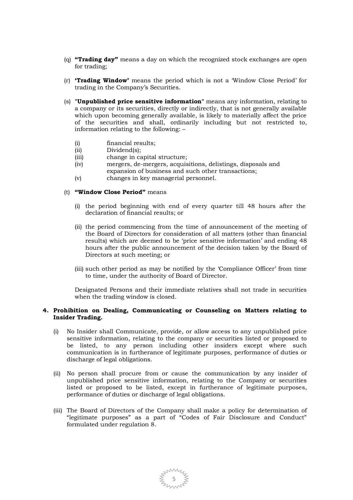- (q) **"Trading day"** means a day on which the recognized stock exchanges are open for trading;
- (r) **'Trading Window'** means the period which is not a 'Window Close Period' for trading in the Company's Securities.
- (s) **"Unpublished price sensitive information"** means any information, relating to a company or its securities, directly or indirectly, that is not generally available which upon becoming generally available, is likely to materially affect the price of the securities and shall, ordinarily including but not restricted to, information relating to the following: –
	- (i) financial results;
	- (ii) Dividend(s);
	- (iii) change in capital structure;
	- (iv) mergers, de-mergers, acquisitions, delistings, disposals and expansion of business and such other transactions;
	- (v) changes in key managerial personnel.

## (t) **"Window Close Period"** means

- (i) the period beginning with end of every quarter till 48 hours after the declaration of financial results; or
- (ii) the period commencing from the time of announcement of the meeting of the Board of Directors for consideration of all matters (other than financial results) which are deemed to be 'price sensitive information' and ending 48 hours after the public announcement of the decision taken by the Board of Directors at such meeting; or
- (iii) such other period as may be notified by the 'Compliance Officer' from time to time, under the authority of Board of Director.

Designated Persons and their immediate relatives shall not trade in securities when the trading window is closed.

### **4. Prohibition on Dealing, Communicating or Counseling on Matters relating to Insider Trading.**

- (i) No Insider shall Communicate, provide, or allow access to any unpublished price sensitive information, relating to the company or securities listed or proposed to be listed, to any person including other insiders except where such communication is in furtherance of legitimate purposes, performance of duties or discharge of legal obligations.
- (ii) No person shall procure from or cause the communication by any insider of unpublished price sensitive information, relating to the Company or securities listed or proposed to be listed, except in furtherance of legitimate purposes, performance of duties or discharge of legal obligations.
- (iii) The Board of Directors of the Company shall make a policy for determination of "legitimate purposes" as a part of "Codes of Fair Disclosure and Conduct" formulated under regulation 8.

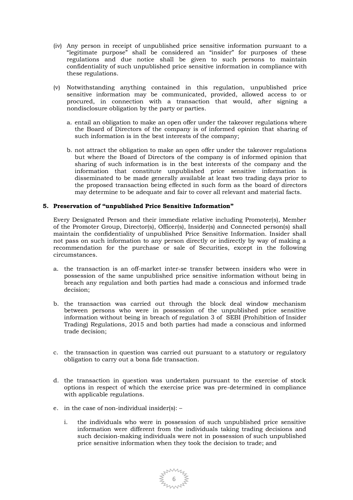- (iv) Any person in receipt of unpublished price sensitive information pursuant to a "legitimate purpose" shall be considered an "insider" for purposes of these regulations and due notice shall be given to such persons to maintain confidentiality of such unpublished price sensitive information in compliance with these regulations.
- (v) Notwithstanding anything contained in this regulation, unpublished price sensitive information may be communicated, provided, allowed access to or procured, in connection with a transaction that would, after signing a nondisclosure obligation by the party or parties.
	- a. entail an obligation to make an open offer under the takeover regulations where the Board of Directors of the company is of informed opinion that sharing of such information is in the best interests of the company;
	- b. not attract the obligation to make an open offer under the takeover regulations but where the Board of Directors of the company is of informed opinion that sharing of such information is in the best interests of the company and the information that constitute unpublished price sensitive information is disseminated to be made generally available at least two trading days prior to the proposed transaction being effected in such form as the board of directors may determine to be adequate and fair to cover all relevant and material facts.

## **5. Preservation of "unpublished Price Sensitive Information"**

Every Designated Person and their immediate relative including Promoter(s), Member of the Promoter Group, Director(s), Officer(s), Insider(s) and Connected person(s) shall maintain the confidentiality of unpublished Price Sensitive Information. Insider shall not pass on such information to any person directly or indirectly by way of making a recommendation for the purchase or sale of Securities, except in the following circumstances.

- a. the transaction is an off-market inter-se transfer between insiders who were in possession of the same unpublished price sensitive information without being in breach any regulation and both parties had made a conscious and informed trade decision;
- b. the transaction was carried out through the block deal window mechanism between persons who were in possession of the unpublished price sensitive information without being in breach of regulation 3 of SEBI (Prohibition of Insider Trading) Regulations, 2015 and both parties had made a conscious and informed trade decision;
- c. the transaction in question was carried out pursuant to a statutory or regulatory obligation to carry out a bona fide transaction.
- d. the transaction in question was undertaken pursuant to the exercise of stock options in respect of which the exercise price was pre-determined in compliance with applicable regulations.
- e. in the case of non-individual insider(s):
	- i. the individuals who were in possession of such unpublished price sensitive information were different from the individuals taking trading decisions and such decision-making individuals were not in possession of such unpublished price sensitive information when they took the decision to trade; and

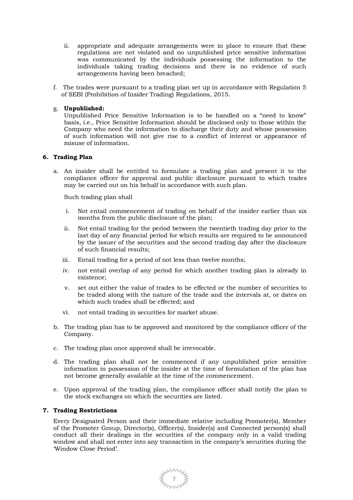- ii. appropriate and adequate arrangements were in place to ensure that these regulations are not violated and no unpublished price sensitive information was communicated by the individuals possessing the information to the individuals taking trading decisions and there is no evidence of such arrangements having been breached;
- f. The trades were pursuant to a trading plan set up in accordance with Regulation 5 of SEBI (Prohibition of Insider Trading) Regulations, 2015.

## g. **Unpublished:**

Unpublished Price Sensitive Information is to be handled on a "need to know" basis, i.e., Price Sensitive Information should be disclosed only to those within the Company who need the information to discharge their duty and whose possession of such information will not give rise to a conflict of interest or appearance of misuse of information.

#### **6. Trading Plan**

a. An insider shall be entitled to formulate a trading plan and present it to the compliance officer for approval and public disclosure pursuant to which trades may be carried out on his behalf in accordance with such plan.

Such trading plan shall

- i. Not entail commencement of trading on behalf of the insider earlier than six months from the public disclosure of the plan;
- ii. Not entail trading for the period between the twentieth trading day prior to the last day of any financial period for which results are required to be announced by the issuer of the securities and the second trading day after the disclosure of such financial results;
- iii. Entail trading for a period of not less than twelve months;
- iv. not entail overlap of any period for which another trading plan is already in existence;
- v. set out either the value of trades to be effected or the number of securities to be traded along with the nature of the trade and the intervals at, or dates on which such trades shall be effected; and
- vi. not entail trading in securities for market abuse.
- b. The trading plan has to be approved and monitored by the compliance officer of the Company.
- c. The trading plan once approved shall be irrevocable.
- d. The trading plan shall not be commenced if any unpublished price sensitive information in possession of the insider at the time of formulation of the plan has not become generally available at the time of the commencement.
- e. Upon approval of the trading plan, the compliance officer shall notify the plan to the stock exchanges on which the securities are listed.

### **7. Trading Restrictions**

Every Designated Person and their immediate relative including Promoter(s), Member of the Promoter Group, Director(s), Officer(s), Insider(s) and Connected person(s) shall conduct all their dealings in the securities of the company only in a valid trading window and shall not enter into any transaction in the company's securities during the 'Window Close Period'.

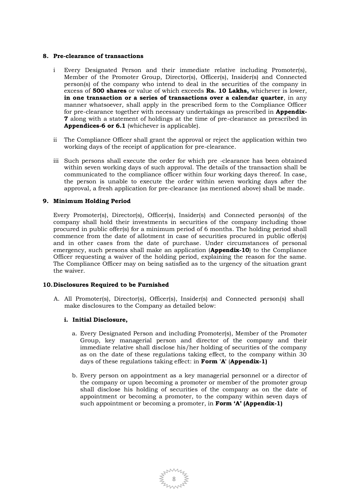## **8. Pre-clearance of transactions**

- i Every Designated Person and their immediate relative including Promoter(s), Member of the Promoter Group, Director(s), Officer(s), Insider(s) and Connected person(s) of the company who intend to deal in the securities of the company in excess of **500 shares** or value of which exceeds **Rs. 10 Lakhs,** whichever is lower, **in one transaction or a series of transactions over a calendar quarter**, in any manner whatsoever, shall apply in the prescribed form to the Compliance Officer for pre-clearance together with necessary undertakings as prescribed in **Appendix-7** along with a statement of holdings at the time of pre-clearance as prescribed in **Appendices-6 or 6.1** (whichever is applicable).
- ii The Compliance Officer shall grant the approval or reject the application within two working days of the receipt of application for pre-clearance.
- iii Such persons shall execute the order for which pre -clearance has been obtained within seven working days of such approval. The details of the transaction shall be communicated to the compliance officer within four working days thereof. In case, the person is unable to execute the order within seven working days after the approval, a fresh application for pre-clearance (as mentioned above) shall be made.

## **9. Minimum Holding Period**

Every Promoter(s), Director(s), Officer(s), Insider(s) and Connected person(s) of the company shall hold their investments in securities of the company including those procured in public offer(s) for a minimum period of 6 months. The holding period shall commence from the date of allotment in case of securities procured in public offer(s) and in other cases from the date of purchase. Under circumstances of personal emergency, such persons shall make an application (**Appendix-10**) to the Compliance Officer requesting a waiver of the holding period, explaining the reason for the same. The Compliance Officer may on being satisfied as to the urgency of the situation grant the waiver.

#### **10.Disclosures Required to be Furnished**

A. All Promoter(s), Director(s), Officer(s), Insider(s) and Connected person(s) shall make disclosures to the Company as detailed below:

#### **i. Initial Disclosure,**

- a. Every Designated Person and including Promoter(s), Member of the Promoter Group, key managerial person and director of the company and their immediate relative shall disclose his/her holding of securities of the company as on the date of these regulations taking effect, to the company within 30 days of these regulations taking effect: in **Form 'A'** (**Appendix-1)**
- b. Every person on appointment as a key managerial personnel or a director of the company or upon becoming a promoter or member of the promoter group shall disclose his holding of securities of the company as on the date of appointment or becoming a promoter, to the company within seven days of such appointment or becoming a promoter, in **Form 'A' (Appendix-1)**

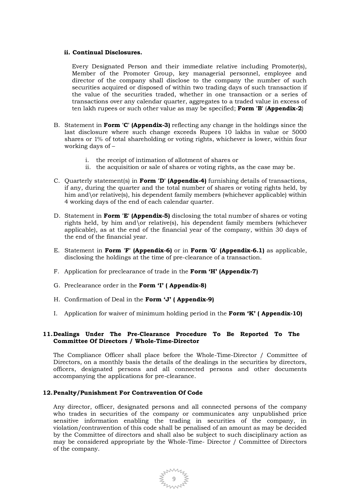### **ii. Continual Disclosures.**

Every Designated Person and their immediate relative including Promoter(s), Member of the Promoter Group, key managerial personnel, employee and director of the company shall disclose to the company the number of such securities acquired or disposed of within two trading days of such transaction if the value of the securities traded, whether in one transaction or a series of transactions over any calendar quarter, aggregates to a traded value in excess of ten lakh rupees or such other value as may be specified; **Form 'B'** (**Appendix-2**)

- B. Statement in **Form 'C' (Appendix-3)** reflecting any change in the holdings since the last disclosure where such change exceeds Rupees 10 lakhs in value or 5000 shares or 1% of total shareholding or voting rights, whichever is lower, within four working days of –
	- i. the receipt of intimation of allotment of shares or
	- ii. the acquisition or sale of shares or voting rights, as the case may be.
- C. Quarterly statement(s) in **Form 'D' (Appendix-4)** furnishing details of transactions, if any, during the quarter and the total number of shares or voting rights held, by him and\or relative(s), his dependent family members (whichever applicable) within 4 working days of the end of each calendar quarter.
- D. Statement in **Form 'E' (Appendix-5)** disclosing the total number of shares or voting rights held, by him and\or relative(s), his dependent family members (whichever applicable), as at the end of the financial year of the company, within 30 days of the end of the financial year.
- E. Statement in **Form 'F' (Appendix-6)** or in **Form 'G' (Appendix-6.1)** as applicable, disclosing the holdings at the time of pre-clearance of a transaction.
- F. Application for preclearance of trade in the **Form 'H' (Appendix-7)**
- G. Preclearance order in the **Form 'I' ( Appendix-8)**
- H. Confirmation of Deal in the **Form 'J' ( Appendix-9)**
- I. Application for waiver of minimum holding period in the **Form 'K' ( Appendix-10)**

# **11.Dealings Under The Pre-Clearance Procedure To Be Reported To The Committee Of Directors / Whole-Time-Director**

The Compliance Officer shall place before the Whole-Time-Director / Committee of Directors, on a monthly basis the details of the dealings in the securities by directors, officers, designated persons and all connected persons and other documents accompanying the applications for pre-clearance.

# **12.Penalty/Punishment For Contravention Of Code**

Any director, officer, designated persons and all connected persons of the company who trades in securities of the company or communicates any unpublished price sensitive information enabling the trading in securities of the company, in violation/contravention of this code shall be penalised of an amount as may be decided by the Committee of directors and shall also be subject to such disciplinary action as may be considered appropriate by the Whole-Time- Director / Committee of Directors of the company.